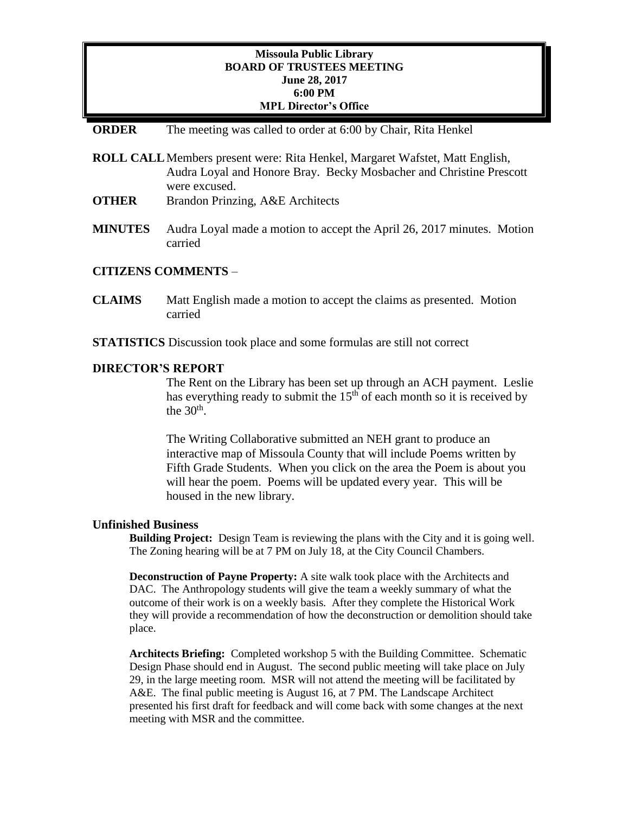## **Missoula Public Library BOARD OF TRUSTEES MEETING June 28, 2017 6:00 PM MPL Director's Office**

### **ORDER** The meeting was called to order at 6:00 by Chair, Rita Henkel

- **ROLL CALL**Members present were: Rita Henkel, Margaret Wafstet, Matt English, Audra Loyal and Honore Bray. Becky Mosbacher and Christine Prescott were excused.
- **OTHER** Brandon Prinzing, A&E Architects
- **MINUTES** Audra Loyal made a motion to accept the April 26, 2017 minutes. Motion carried

### **CITIZENS COMMENTS** –

- **CLAIMS** Matt English made a motion to accept the claims as presented. Motion carried
- **STATISTICS** Discussion took place and some formulas are still not correct

### **DIRECTOR'S REPORT**

The Rent on the Library has been set up through an ACH payment. Leslie has everything ready to submit the  $15<sup>th</sup>$  of each month so it is received by the  $30<sup>th</sup>$ .

The Writing Collaborative submitted an NEH grant to produce an interactive map of Missoula County that will include Poems written by Fifth Grade Students. When you click on the area the Poem is about you will hear the poem. Poems will be updated every year. This will be housed in the new library.

#### **Unfinished Business**

**Building Project:** Design Team is reviewing the plans with the City and it is going well. The Zoning hearing will be at 7 PM on July 18, at the City Council Chambers.

**Deconstruction of Payne Property:** A site walk took place with the Architects and DAC. The Anthropology students will give the team a weekly summary of what the outcome of their work is on a weekly basis. After they complete the Historical Work they will provide a recommendation of how the deconstruction or demolition should take place.

**Architects Briefing:** Completed workshop 5 with the Building Committee. Schematic Design Phase should end in August. The second public meeting will take place on July 29, in the large meeting room. MSR will not attend the meeting will be facilitated by A&E. The final public meeting is August 16, at 7 PM. The Landscape Architect presented his first draft for feedback and will come back with some changes at the next meeting with MSR and the committee.